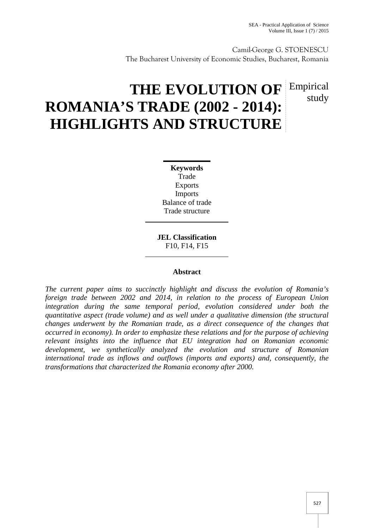Camil-George G. STOENESCU The Bucharest University of Economic Studies, Bucharest, Romania

# **THE EVOLUTION OF Empirical ROMANIA'S TRADE (2002 - 2014): HIGHLIGHTS AND STRUCTURE** study

**Keywords** Trade Exports Imports Balance of trade Trade structure

**JEL Classification** F10, F14, F15

# **Abstract**

*The current paper aims to succinctly highlight and discuss the evolution of Romania's foreign trade between 2002 and 2014, in relation to the process of European Union integration during the same temporal period, evolution considered under both the quantitative aspect (trade volume) and as well under a qualitative dimension (the structural changes underwent by the Romanian trade, as a direct consequence of the changes that occurred in economy). In order to emphasize these relations and for the purpose of achieving relevant insights into the influence that EU integration had on Romanian economic development, we synthetically analyzed the evolution and structure of Romanian international trade as inflows and outflows (imports and exports) and, consequently, the transformations that characterized the Romania economy after 2000.*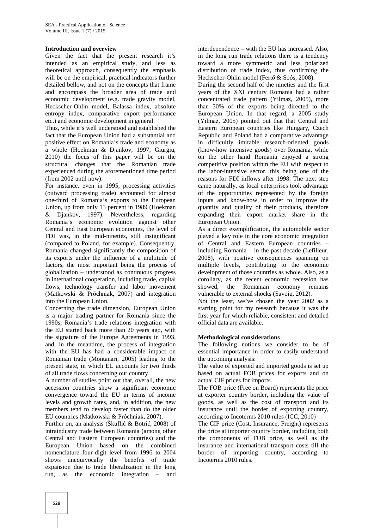#### **Introduction and overview**

Given the fact that the present research it's intended as an empirical study, and less as theoretical approach, consequently the emphasis will be on the empirical, practical indicators further detailed bellow, and not on the concepts that frame and encompass the broader area of trade and economic development (e.g. trade gravity model, Heckscher-Ohlin model, Balassa index, absolute entropy index, comparative export performance etc.) and economic development in general.

Thus, while it's well understood and established the fact that the European Union had a substantial and positive effect on Romania's trade and economy as a whole (Hoekman & Djankov, 1997; Giurgiu, 2010) the focus of this paper will be on the structural changes that the Romanian trade experienced during the aforementioned time period (from 2002 until now).

For instance, even in 1995, processing activities (outward processing trade) accounted for almost one-third of Romania's exports to the European Union, up from only 13 percent in 1989 (Hoekman & Djankov, 1997). Nevertheless, regarding Romania's economic evolution against other Central and East European economies, the level of FDI was, in the mid-nineties, still insignificant (compared to Poland, for example). Consequently, Romania changed significantly the composition of its exports under the influence of a multitude of factors, the most important being the process of globalization – understood as continuous progress in international cooperation, including trade, capital flows, technology transfer and labor movement (Matkowski & Próchniak, 2007) and integration into the European Union.

Concerning the trade dimension, European Union is a major trading partner for Romania since the 1990s, Romania's trade relations integration with the EU started back more than 20 years ago, with the signature of the Europe Agreements in 1993, and, in the meantime, the process of integration with the EU has had a considerable impact on Romanian trade (Montanari, 2005) leading to the present state, in which EU accounts for two thirds of all trade flows concerning our country.

A number of studies point out that, overall, the new accession countries show a significant economic convergence toward the EU in terms of income levels and growth rates, and, in addition, the new members tend to develop faster than do the older EU countries (Matkowski & Próchniak, 2007).

Further on, an analysis (Škufli $\&$  Botri, 2008) of intraindustry trade between Romania (among other Central and Eastern European countries) and the European Union based on the combined nomenclature four-digit level from 1996 to 2004 shows unequivocally the benefits of trade expansion due to trade liberalization in the long run, as the economic integration – and

interdependence – with the EU has increased. Also, in the long run trade relations there is a tendency toward a more symmetric and less polarized distribution of trade index, thus confirming the Heckscher-Ohlin model (Fert & Soós, 2008).

During the second half of the nineties and the first years of the XXI century Romania had a rather concentrated trade pattern (Yilmaz, 2005), more than 50% of the exports being directed to the European Union. In that regard, a 2005 study (Yilmaz, 2005) pointed out that that Central and Eastern European countries like Hungary, Czech Republic and Poland had a comparative advantage in difficultly imitable research-oriented goods (know-how intensive goods) over Romania, while on the other hand Romania enjoyed a strong competitive position within the EU with respect to the labor-intensive sector, this being one of the reasons for FDI inflows after 1998. The next step came naturally, as local enterprises took advantage of the opportunities represented by the foreign inputs and know-how in order to improve the quantity and quality of their products, therefore expanding their export market share in the European Union.

As a direct exemplification, the automobile sector played a key role in the core economic integration of Central and Eastern European countries – including Romania – in the past decade (Lefilleur, 2008), with positive consequences spanning on multiple levels, contributing to the economic development of those countries as whole. Also, as a corollary, as the recent economic recession has showed, the Romanian economy remains vulnerable to external shocks (Savoiu, 2012).

Not the least, we've chosen the year 2002 as a starting point for my research because it was the first year for which reliable, consistent and detailed official data are available.

#### **Methodological considerations**

The following notions we consider to be of essential importance in order to easily understand the upcoming analysis:

The value of exported and imported goods is set up based on actual FOB prices for exports and on actual CIF prices for imports.

The FOB price (Free on Board) represents the price at exporter country border, including the value of goods, as well as the cost of transport and its insurance until the border of exporting country, according to Incoterms 2010 rules (ICC, 2010)

The CIF price (Cost, Insurance, Freight) represents the price at importer country border, including both the components of FOB price, as well as the insurance and international transport costs till the border of importing country, according to Incoterms 2010 rules.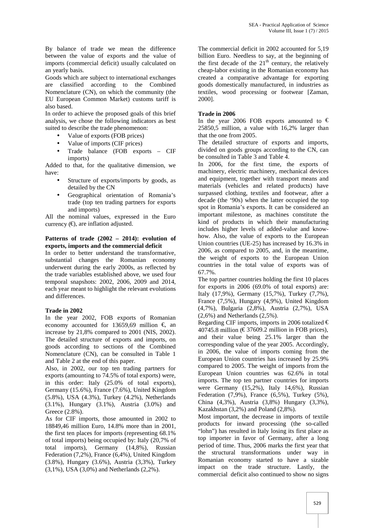By balance of trade we mean the difference between the value of exports and the value of imports (commercial deficit) usually calculated on an yearly basis.

Goods which are subject to international exchanges are classified according to the Combined Nomenclature (CN), on which the community (the EU European Common Market) customs tariff is also based.

In order to achieve the proposed goals of this brief analysis, we chose the following indicators as best suited to describe the trade phenomenon:

- Value of exports (FOB prices)
- Value of imports (CIF prices)
- Trade balance (FOB exports CIF imports)

Added to that, for the qualitative dimension, we have:

- Structure of exports/imports by goods, as detailed by the CN
- Geographical orientation of Romania's trade (top ten trading partners for exports and imports)

All the nominal values, expressed in the Euro currency  $(\epsilon)$ , are inflation adjusted.

#### **Patterns of trade (2002 – 2014): evolution of exports, imports and the commercial deficit**

In order to better understand the transformative, substantial changes the Romanian economy underwent during the early 2000s, as reflected by the trade variables established above, we used four temporal snapshots: 2002, 2006, 2009 and 2014, each year meant to highlight the relevant evolutions and differences.

#### **Trade in 2002**

In the year 2002, FOB exports of Romanian economy accounted for 13659,69 million  $\epsilon$  and increase by 21,8% compared to 2001 (NIS, 2002). The detailed structure of exports and imports, on goods according to sections of the Combined Nomenclature (CN), can be consulted in Table 1 and Table 2 at the end of this paper.

Also, in 2002, our top ten trading partners for exports (amounting to 74.5% of total exports) were, in this order: Italy (25.0% of total exports), Germany (15.6%), France (7.6%), United Kingdom (5.8%), USA (4.3%), Turkey (4.2%), Netherlands (3.1%), Hungary (3.1%), Austria (3.0%) and Greece (2.8%).

As for CIF imports, those amounted in 2002 to 18849,46 million Euro, 14.8% more than in 2001, the first ten places for imports (representing 68.1% of total imports) being occupied by: Italy (20,7% of total imports), Germany (14,8%), Russian Federation (7,2%), France (6,4%), United Kingdom (3.8%), Hungary (3.6%), Austria (3,3%), Turkey (3,1%), USA (3,0%) and Netherlands (2,2%).

The commercial deficit in 2002 accounted for 5,19 billion Euro. Needless to say, at the beginning of the first decade of the  $21<sup>th</sup>$  century, the relatively cheap-labor existing in the Romanian economy has created a comparative advantage for exporting goods domestically manufactured, in industries as textiles, wood processing or footwear [Zaman, 2000].

#### **Trade in 2006**

In the year 2006 FOB exports amounted to  $\epsilon$ 25850,5 million, a value with 16,2% larger than that the one from 2005.

The detailed structure of exports and imports, divided on goods groups according to the CN, can be consulted in Table 3 and Table 4.

In 2006, for the first time, the exports of machinery, electric machinery, mechanical devices and equipment, together with transport means and materials (vehicles and related products) have surpassed clothing, textiles and footwear, after a decade (the '90s) when the latter occupied the top spot in Romania's exports. It can be considered an important milestone, as machines constitute the kind of products in which their manufacturing includes higher levels of added-value and know how. Also, the value of exports to the European Union countries (UE-25) has increased by 16.3% in 2006, as compared to 2005, and, in the meantime, the weight of exports to the European Union countries in the total value of exports was of 67.7%.

The top partner countries holding the first 10 places for exports in 2006 (69.0% of total exports) are: Italy (17,9%), Germany (15,7%), Turkey (7,7%), France (7,5%), Hungary (4,9%), United Kingdom (4,7%), Bulgaria (2,8%), Austria (2,7%), USA (2,6%) and Netherlands (2,5%).

Regarding CIF imports, imports in 2006 totalized  $\epsilon$ 40745.8 million ( $\epsilon$ 37609.2 million in FOB prices), and their value being 25.1% larger than the corresponding value of the year 2005. Accordingly, in 2006, the value of imports coming from the European Union countries has increased by 25.9% compared to 2005. The weight of imports from the European Union countries was 62.6% in total imports. The top ten partner countries for imports were Germany (15,2%), Italy 14,6%), Russian Federation (7,9%), France (6,5%), Turkey (5%), China (4,3%), Austria (3,8%) Hungary (3,3%), Kazakhstan (3,2%) and Poland (2,8%).

Most important, the decrease in imports of textile products for inward processing (the so-called "lohn") has resulted in Italy losing its first place as top importer in favor of Germany, after a long period of time. Thus, 2006 marks the first year that the structural transformations under way in Romanian economy started to have a sizable impact on the trade structure. Lastly, the commercial deficit also continued to show no signs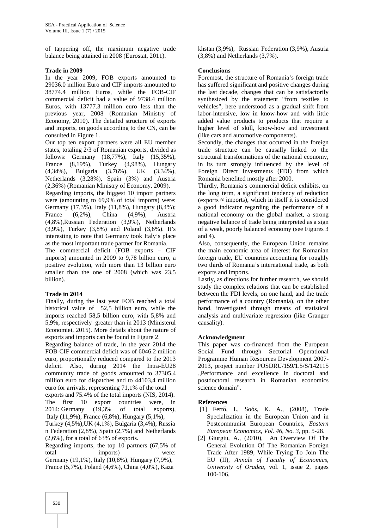of tappering off, the maximum negative trade balance being attained in 2008 (Eurostat, 2011).

## **Trade in 2009**

In the year 2009, FOB exports amounted to 29036.0 million Euro and CIF imports amounted to 38774.4 million Euros, while the FOB-CIF commercial deficit had a value of 9738.4 million Euros, with 13777.3 million euro less than the previous year, 2008 (Romanian Ministry of Economy, 2010). The detailed structure of exports and imports, on goods according to the CN, can be consulted in Figure 1.

Our top ten export partners were all EU member states, totaling 2/3 of Romanian exports, divided as follows: Germany (18,77%), Italy (15,35%), France (8,19%), Turkey (4,98%), Hungary (4,34%), Bulgaria (3,76%), UK (3,34%), Netherlands (3,28%), Spain (3%) and Austria (2,36%) (Romanian Ministry of Economy, 2009).

Regarding imports, the biggest 10 import partners were (amounting to 69,9% of total imports) were: Germany (17,3%), Italy (11,8%), Hungary (8,4%); France (6,2%), China (4,9%), Austria (4,8%),Russian Federation (3,9%), Netherlands (3,9%), Turkey (3,8%) and Poland (3,6%). It's interesting to note that Germany took Italy's place as the most important trade partner for Romania.

The commercial deficit (FOB exports – CIF imports) amounted in 2009 to 9,78 billion euro, a positive evolution, with more than 13 billion euro smaller than the one of 2008 (which was 23,5 billion).

# **Trade in 2014**

Finally, during the last year FOB reached a total historical value of 52,5 billion euro, while the imports reached 58,5 billion euro, with 5,8% and 5,9%, respectively greater than in 2013 (Ministerul Economiei, 2015). More details about the nature of exports and imports can be found in Figure 2.

Regarding balance of trade, in the year 2014 the FOB-CIF commercial deficit was of 6046.2 million euro, proportionally reduced compared to the 2013 deficit. Also, during 2014 the Intra-EU28 community trade of goods amounted to 37305,4 million euro for dispatches and to 44103,4 million euro for arrivals, representing 71,1% of the total

exports and 75.4% of the total imports (NIS, 2014). The first 10 export countries were, in 2014: Germany (19,3% of total exports), Italy (11,9%), France (6,8%), Hungary (5,1%),

Turkey (4,5%),UK (4,1%), Bulgaria (3,4%), Russia n Federation (2,8%), Spain (2,7%) and Netherlands (2,6%), for a total of 63% of exports.

Regarding imports, the top 10 partners (67,5% of total imports) were: Germany (19,1%), Italy (10,8%), Hungary (7,9%), France (5,7%), Poland (4,6%), China (4,0%), Kaza

khstan (3,9%), Russian Federation (3,9%), Austria (3,8%) and Netherlands (3,7%).

## **Conclusions**

Foremost, the structure of Romania's foreign trade has suffered significant and positive changes during the last decade, changes that can be satisfactorily synthesized by the statement "from textiles to vehicles", here understood as a gradual shift from labor-intensive, low in know-how and with little added value products to products that require a higher level of skill, know-how and investment (like cars and automotive components).

Secondly, the changes that occurred in the foreign trade structure can be causally linked to the structural transformations of the national economy, in its turn strongly influenced by the level of Foreign Direct Investments (FDI) from which Romania benefited mostly after 2000.

Thirdly, Romania's commercial deficit exhibits, on the long term, a significant tendency of reduction (exports ≈ imports), which in itself it is considered a good indicator regarding the performance of a national economy on the global market, a strong negative balance of trade being interpreted as a sign of a weak, poorly balanced economy (see Figures 3 and  $4$ ).

Also, consequently, the European Union remains the main economic area of interest for Romanian foreign trade, EU countries accounting for roughly two thirds of Romania's international trade, as both exports and imports.

Lastly, as directions for further research, we should study the complex relations that can be established between the FDI levels, on one hand, and the trade performance of a country (Romania), on the other hand, investigated through means of statistical analysis and multivariate regression (like Granger causality).

# **Acknowledgment**

This paper was co-financed from the European Social Fund through Sectorial Operational Programme Human Resources Development 2007- 2013, project number POSDRU/159/1.5/S/142115 "Performance and excellence in doctoral and postdoctoral research in Romanian economics science domain".

# **References**

- [1] Fert, I., Soós, K. A., (2008), Trade Specialization in the European Union and in Postcommunist European Countries*, Eastern European Economics, Vol. 46, No. 3*, pp. 5-28.
- [2] Giurgiu, A., (2010), An Overview Of The General Evolution Of The Romanian Foreign Trade After 1989, While Trying To Join The EU (II), *Annals of Faculty of Economics, University of Oradea*, vol. 1, issue 2, pages 100-106.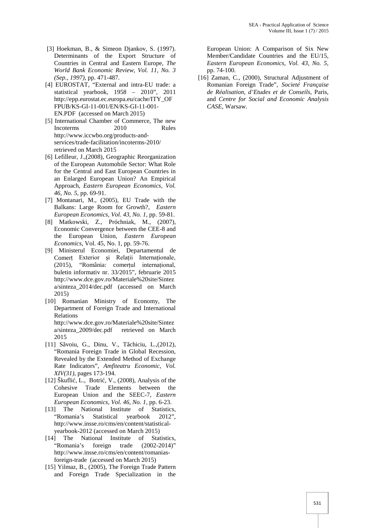- [3] Hoekman, B., & Simeon Djankov, S. (1997). Determinants of the Export Structure of Countries in Central and Eastern Europe, *The World Bank Economic Review, Vol. 11, No. 3 (Sep., 1997)*, pp. 471-487.
- [4] EUROSTAT, "External and intra-EU trade: a statistical yearbook, 1958 – 2010", 2011 http://epp.eurostat.ec.europa.eu/cache/ITY\_OF FPUB/KS-GI-11-001/EN/KS-GI-11-001- EN.PDF (accessed on March 2015)
- [5] International Chamber of Commerce, The new Incoterms 2010 Rules http://www.iccwbo.org/products-and services/trade-facilitation/incoterms-2010/ retrieved on March 2015
- [6] Lefilleur, J.,(2008), Geographic Reorganization of the European Automobile Sector: What Role for the Central and East European Countries in an Enlarged European Union? An Empirical Approach, *Eastern European Economics, Vol. 46, No. 5,* pp. 69-91.
- [7] Montanari, M., (2005), EU Trade with the Balkans: Large Room for Growth?, *Eastern European Economics, Vol. 43, No. 1*, pp. 59-81.
- [8] Matkowski, Z., Próchniak, M., (2007), Economic Convergence between the CEE-8 and the European Union, *Eastern European Economics*, Vol. 45, No. 1, pp. 59-76.
- [9] Ministerul Economiei, Departamentul de Comerț Exterior și Relații Internaționale, (2015), "România: comerțul internațional, buletin informativ nr. 33/2015", februarie 2015 http://www.dce.gov.ro/Materiale%20site/Sintez a/sinteza\_2014/dec.pdf (accessed on March 2015)
- [10] Romanian Ministry of Economy, The Department of Foreign Trade and International Relations http://www.dce.gov.ro/Materiale%20site/Sintez

a/sinteza\_2009/dec.pdf retrieved on March 2015

- [11] S voiu, G., Dinu, V., T chiciu, L.,(2012), "Romania Foreign Trade in Global Recession, Revealed by the Extended Method of Exchange Rate Indicators", *Amfiteatru Economic, Vol. XIV(31),* pages 173-194.
- [12] Škufli, L., Botri, V.,  $(2008)$ , Analysis of the Cohesive Trade Elements between the European Union and the SEEC-7, *Eastern European Economics, Vol. 46, No. 1*, pp. 6-23.
- [13] The National Institute of Statistics, "Romania's Statistical yearbook 2012", http://www.insse.ro/cms/en/content/statistical yearbook-2012 (accessed on March 2015)
- [14] The National Institute of Statistics, "Romania's foreign trade (2002-2014)" http://www.insse.ro/cms/en/content/romaniasforeign-trade (accessed on March 2015)
- [15] Yilmaz, B., (2005), The Foreign Trade Pattern and Foreign Trade Specialization in the

European Union: A Comparison of Six New Member/Candidate Countries and the EU/15, *Eastern European Economics, Vol. 43, No. 5*, pp. 74-100.

[16] Zaman, C., (2000), Structural Adjustment of Romanian Foreign Trade", *Societé Française de Réalisation, d'Etudes et de Conseils*, Paris, and *Centre for Social and Economic Analysis CASE*, Warsaw.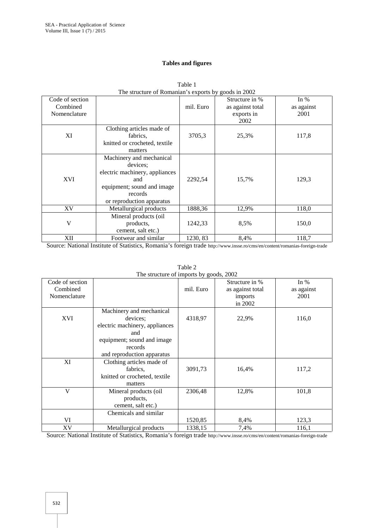## **Tables and figures**

|                 | The structure of Romanian s exports by goods in 2002 |           |                  |            |
|-----------------|------------------------------------------------------|-----------|------------------|------------|
| Code of section |                                                      |           | Structure in %   | In $%$     |
| Combined        |                                                      | mil. Euro | as against total | as against |
| Nomenclature    |                                                      |           | exports in       | 2001       |
|                 |                                                      |           | 2002             |            |
|                 | Clothing articles made of                            |           |                  |            |
| XI              | fabrics,                                             | 3705,3    | 25,3%            | 117,8      |
|                 | knitted or crocheted, textile                        |           |                  |            |
|                 | matters                                              |           |                  |            |
|                 | Machinery and mechanical                             |           |                  |            |
|                 | devices;                                             |           |                  |            |
|                 | electric machinery, appliances                       |           |                  |            |
| XVI             | and                                                  | 2292,54   | 15,7%            | 129,3      |
|                 | equipment; sound and image                           |           |                  |            |
|                 | records                                              |           |                  |            |
|                 | or reproduction apparatus                            |           |                  |            |
| XV              | Metallurgical products                               | 1888,36   | 12,9%            | 118,0      |
|                 | Mineral products (oil                                |           |                  |            |
| V               | products,                                            | 1242,33   | 8,5%             | 150,0      |
|                 | cement, salt etc.)                                   |           |                  |            |
| XII             | Footwear and similar                                 | 1230, 83  | 8,4%             | 118,7      |

| Table 1                                              |  |
|------------------------------------------------------|--|
| The structure of Romanian's exports by goods in 2002 |  |

Source: National Institute of Statistics, Romania's foreign trade http://www.insse.ro/cms/en/content/romanias-foreign-trade

|                 | The structure of imports by goods, 2002 |           |                  |            |
|-----------------|-----------------------------------------|-----------|------------------|------------|
| Code of section |                                         |           | Structure in %   | In $%$     |
| Combined        |                                         | mil. Euro | as against total | as against |
| Nomenclature    |                                         |           | imports          | 2001       |
|                 |                                         |           | in 2002          |            |
|                 | Machinery and mechanical                |           |                  |            |
| XVI             | devices:                                | 4318,97   | 22,9%            | 116,0      |
|                 | electric machinery, appliances          |           |                  |            |
|                 | and                                     |           |                  |            |
|                 | equipment; sound and image              |           |                  |            |
|                 | records                                 |           |                  |            |
|                 | and reproduction apparatus              |           |                  |            |
| XI              | Clothing articles made of               |           |                  |            |
|                 | fabrics.                                | 3091,73   | 16,4%            | 117,2      |
|                 | knitted or crocheted, textile           |           |                  |            |
|                 | matters                                 |           |                  |            |
| V               | Mineral products (oil                   | 2306,48   | 12,8%            | 101,8      |
|                 | products,                               |           |                  |            |
|                 | cement, salt etc.)                      |           |                  |            |
|                 | Chemicals and similar                   |           |                  |            |
| VI              |                                         | 1520,85   | 8,4%             | 123,3      |
| XV              | Metallurgical products                  | 1338,15   | 7,4%             | 116,1      |

Table 2

Source: National Institute of Statistics, Romania's foreign trade http://www.insse.ro/cms/en/content/romanias-foreign-trade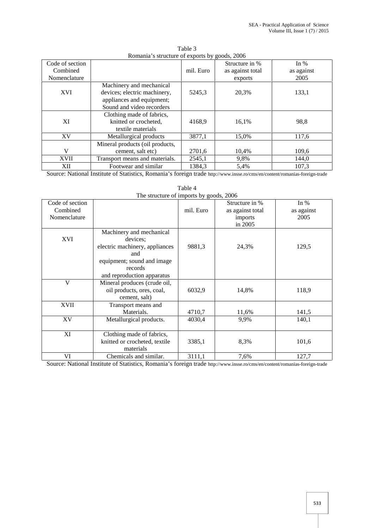| Code of section |                                 | ັັ        | Structure in %   | In $%$     |
|-----------------|---------------------------------|-----------|------------------|------------|
| Combined        |                                 | mil. Euro | as against total | as against |
| Nomenclature    |                                 |           | exports          | 2005       |
|                 | Machinery and mechanical        |           |                  |            |
| XVI             | devices; electric machinery,    | 5245,3    | 20,3%            | 133,1      |
|                 | appliances and equipment;       |           |                  |            |
|                 | Sound and video recorders       |           |                  |            |
|                 | Clothing made of fabrics,       |           |                  |            |
| XI              | knitted or crocheted,           | 4168,9    | 16,1%            | 98,8       |
|                 | textile materials               |           |                  |            |
| XV              | Metallurgical products          | 3877,1    | 15,0%            | 117,6      |
|                 | Mineral products (oil products, |           |                  |            |
| V               | cement, salt etc)               | 2701,6    | 10,4%            | 109,6      |
| <b>XVII</b>     | Transport means and materials.  | 2545,1    | 9,8%             | 144,0      |
| XII             | Footwear and similar            | 1384.3    | 5,4%             | 107,3      |

Table 3 Romania's structure of exports by goods, 2006

Source: National Institute of Statistics, Romania's foreign trade http://www.insse.ro/cms/en/content/romanias-foreign-trade

|                                             | The structure of imports by goods, 2006                                                                                                              |           |                                                          |                              |
|---------------------------------------------|------------------------------------------------------------------------------------------------------------------------------------------------------|-----------|----------------------------------------------------------|------------------------------|
| Code of section<br>Combined<br>Nomenclature |                                                                                                                                                      | mil. Euro | Structure in %<br>as against total<br>imports<br>in 2005 | In $%$<br>as against<br>2005 |
| XVI                                         | Machinery and mechanical<br>devices:<br>electric machinery, appliances<br>and<br>equipment; sound and image<br>records<br>and reproduction apparatus | 9881,3    | 24,3%                                                    | 129,5                        |
| V                                           | Mineral produces (crude oil,<br>oil products, ores, coal,<br>cement, salt)                                                                           | 6032,9    | 14,8%                                                    | 118,9                        |
| <b>XVII</b>                                 | Transport means and<br>Materials.                                                                                                                    | 4710,7    | 11,6%                                                    | 141,5                        |
| XV                                          | Metallurgical products.                                                                                                                              | 4030,4    | 9,9%                                                     | 140,1                        |
| XI                                          | Clothing made of fabrics,<br>knitted or crocheted, textile<br>materials                                                                              | 3385,1    | 8,3%                                                     | 101,6                        |
| VI                                          | Chemicals and similar.                                                                                                                               | 3111,1    | 7,6%                                                     | 127,7                        |

Table 4

Source: National Institute of Statistics, Romania's foreign trade http://www.insse.ro/cms/en/content/romanias-foreign-trade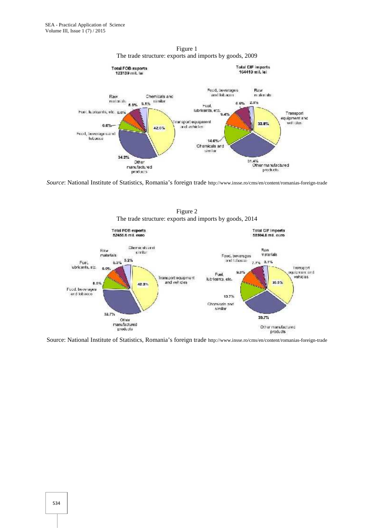

Figure 1 The trade structure: exports and imports by goods, 2009

*Source*: National Institute of Statistics, Romania's foreign trade http://www.insse.ro/cms/en/content/romanias-foreign-trade



Figure 2

Source: National Institute of Statistics, Romania's foreign trade http://www.insse.ro/cms/en/content/romanias-foreign-trade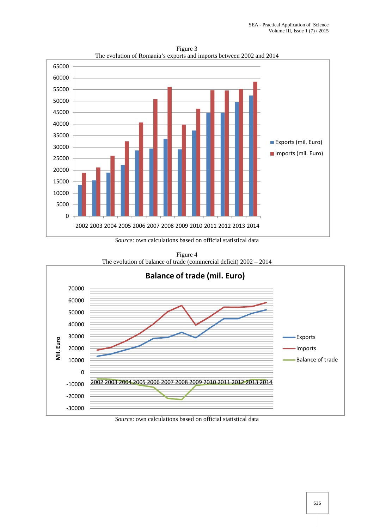

Figure 3 The evolution of Romania's exports and imports between 2002 and 2014

*Source*: own calculations based on official statistical data

Figure 4 The evolution of balance of trade (commercial deficit) 2002 – 2014



*Source*: own calculations based on official statistical data